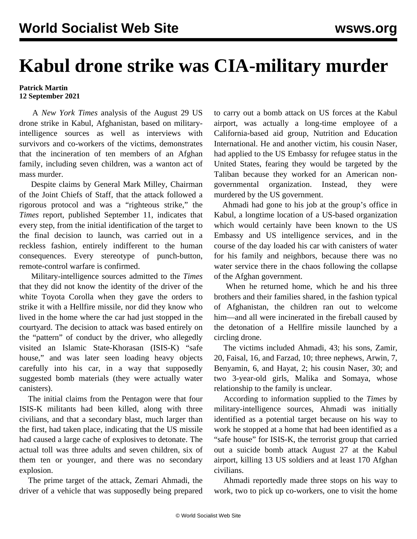## **Kabul drone strike was CIA-military murder**

## **Patrick Martin 12 September 2021**

 A *New York Times* analysis of the August 29 US drone strike in Kabul, Afghanistan, based on militaryintelligence sources as well as interviews with survivors and co-workers of the victims, demonstrates that the incineration of ten members of an Afghan family, including seven children, was a wanton act of mass murder.

 Despite claims by General Mark Milley, Chairman of the Joint Chiefs of Staff, that the attack followed a rigorous protocol and was a "righteous strike," the *Times* report, published September 11, indicates that every step, from the initial identification of the target to the final decision to launch, was carried out in a reckless fashion, entirely indifferent to the human consequences. Every stereotype of punch-button, remote-control warfare is confirmed.

 Military-intelligence sources admitted to the *Times* that they did not know the identity of the driver of the white Toyota Corolla when they gave the orders to strike it with a Hellfire missile, nor did they know who lived in the home where the car had just stopped in the courtyard. The decision to attack was based entirely on the "pattern" of conduct by the driver, who allegedly visited an Islamic State-Khorasan (ISIS-K) "safe house," and was later seen loading heavy objects carefully into his car, in a way that supposedly suggested bomb materials (they were actually water canisters).

 The initial claims from the Pentagon were that four ISIS-K militants had been killed, along with three civilians, and that a secondary blast, much larger than the first, had taken place, indicating that the US missile had caused a large cache of explosives to detonate. The actual toll was three adults and seven children, six of them ten or younger, and there was no secondary explosion.

 The prime target of the attack, Zemari Ahmadi, the driver of a vehicle that was supposedly being prepared to carry out a bomb attack on US forces at the Kabul airport, was actually a long-time employee of a California-based aid group, Nutrition and Education International. He and another victim, his cousin Naser, had applied to the US Embassy for refugee status in the United States, fearing they would be targeted by the Taliban because they worked for an American nongovernmental organization. Instead, they were murdered by the US government.

 Ahmadi had gone to his job at the group's office in Kabul, a longtime location of a US-based organization which would certainly have been known to the US Embassy and US intelligence services, and in the course of the day loaded his car with canisters of water for his family and neighbors, because there was no water service there in the chaos following the collapse of the Afghan government.

 When he returned home, which he and his three brothers and their families shared, in the fashion typical of Afghanistan, the children ran out to welcome him—and all were incinerated in the fireball caused by the detonation of a Hellfire missile launched by a circling drone.

 The victims included Ahmadi, 43; his sons, Zamir, 20, Faisal, 16, and Farzad, 10; three nephews, Arwin, 7, Benyamin, 6, and Hayat, 2; his cousin Naser, 30; and two 3-year-old girls, Malika and Somaya, whose relationship to the family is unclear.

 According to information supplied to the *Times* by military-intelligence sources, Ahmadi was initially identified as a potential target because on his way to work he stopped at a home that had been identified as a "safe house" for ISIS-K, the terrorist group that carried out a suicide bomb attack August 27 at the Kabul airport, killing 13 US soldiers and at least 170 Afghan civilians.

 Ahmadi reportedly made three stops on his way to work, two to pick up co-workers, one to visit the home